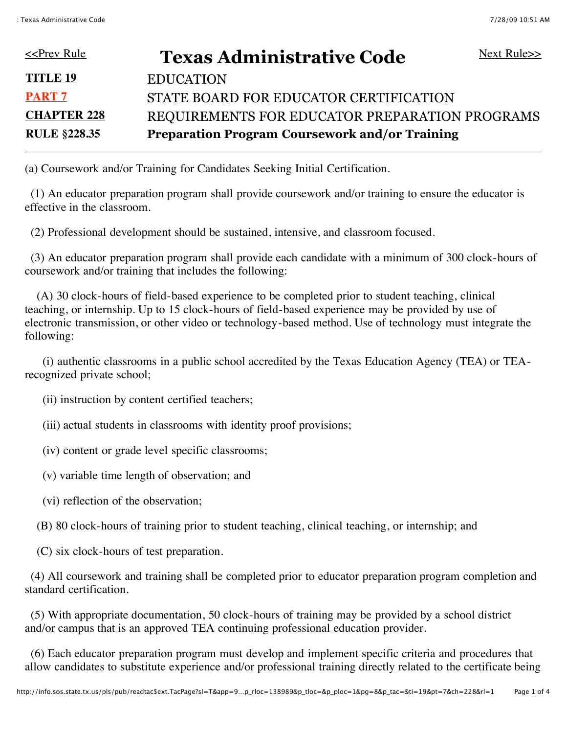| <u>&lt;<prev rule<="" u=""></prev></u> | Next Rule $\gg$<br><b>Texas Administrative Code</b>   |  |
|----------------------------------------|-------------------------------------------------------|--|
| <b>TITLE 19</b>                        | <b>EDUCATION</b>                                      |  |
| <b>PART 7</b>                          | STATE BOARD FOR EDUCATOR CERTIFICATION                |  |
| <b>CHAPTER 228</b>                     | REQUIREMENTS FOR EDUCATOR PREPARATION PROGRAMS        |  |
| <b>RULE §228.35</b>                    | <b>Preparation Program Coursework and/or Training</b> |  |

(a) Coursework and/or Training for Candidates Seeking Initial Certification.

 (1) An educator preparation program shall provide coursework and/or training to ensure the educator is effective in the classroom.

(2) Professional development should be sustained, intensive, and classroom focused.

 (3) An educator preparation program shall provide each candidate with a minimum of 300 clock-hours of coursework and/or training that includes the following:

 (A) 30 clock-hours of field-based experience to be completed prior to student teaching, clinical teaching, or internship. Up to 15 clock-hours of field-based experience may be provided by use of electronic transmission, or other video or technology-based method. Use of technology must integrate the following:

 (i) authentic classrooms in a public school accredited by the Texas Education Agency (TEA) or TEArecognized private school;

(ii) instruction by content certified teachers;

(iii) actual students in classrooms with identity proof provisions;

(iv) content or grade level specific classrooms;

(v) variable time length of observation; and

(vi) reflection of the observation;

(B) 80 clock-hours of training prior to student teaching, clinical teaching, or internship; and

(C) six clock-hours of test preparation.

 (4) All coursework and training shall be completed prior to educator preparation program completion and standard certification.

 (5) With appropriate documentation, 50 clock-hours of training may be provided by a school district and/or campus that is an approved TEA continuing professional education provider.

 (6) Each educator preparation program must develop and implement specific criteria and procedures that allow candidates to substitute experience and/or professional training directly related to the certificate being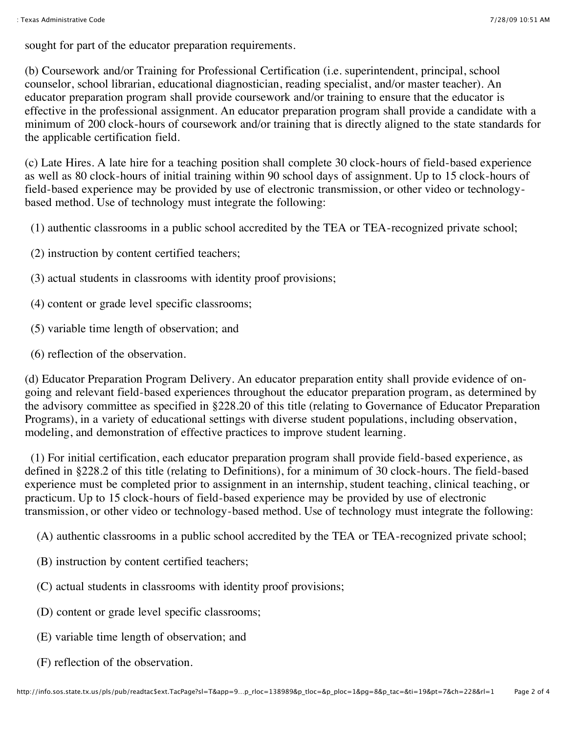sought for part of the educator preparation requirements.

(b) Coursework and/or Training for Professional Certification (i.e. superintendent, principal, school counselor, school librarian, educational diagnostician, reading specialist, and/or master teacher). An educator preparation program shall provide coursework and/or training to ensure that the educator is effective in the professional assignment. An educator preparation program shall provide a candidate with a minimum of 200 clock-hours of coursework and/or training that is directly aligned to the state standards for the applicable certification field.

(c) Late Hires. A late hire for a teaching position shall complete 30 clock-hours of field-based experience as well as 80 clock-hours of initial training within 90 school days of assignment. Up to 15 clock-hours of field-based experience may be provided by use of electronic transmission, or other video or technologybased method. Use of technology must integrate the following:

(1) authentic classrooms in a public school accredited by the TEA or TEA-recognized private school;

- (2) instruction by content certified teachers;
- (3) actual students in classrooms with identity proof provisions;
- (4) content or grade level specific classrooms;
- (5) variable time length of observation; and
- (6) reflection of the observation.

(d) Educator Preparation Program Delivery. An educator preparation entity shall provide evidence of ongoing and relevant field-based experiences throughout the educator preparation program, as determined by the advisory committee as specified in §228.20 of this title (relating to Governance of Educator Preparation Programs), in a variety of educational settings with diverse student populations, including observation, modeling, and demonstration of effective practices to improve student learning.

 (1) For initial certification, each educator preparation program shall provide field-based experience, as defined in §228.2 of this title (relating to Definitions), for a minimum of 30 clock-hours. The field-based experience must be completed prior to assignment in an internship, student teaching, clinical teaching, or practicum. Up to 15 clock-hours of field-based experience may be provided by use of electronic transmission, or other video or technology-based method. Use of technology must integrate the following:

(A) authentic classrooms in a public school accredited by the TEA or TEA-recognized private school;

- (B) instruction by content certified teachers;
- (C) actual students in classrooms with identity proof provisions;
- (D) content or grade level specific classrooms;
- (E) variable time length of observation; and
- (F) reflection of the observation.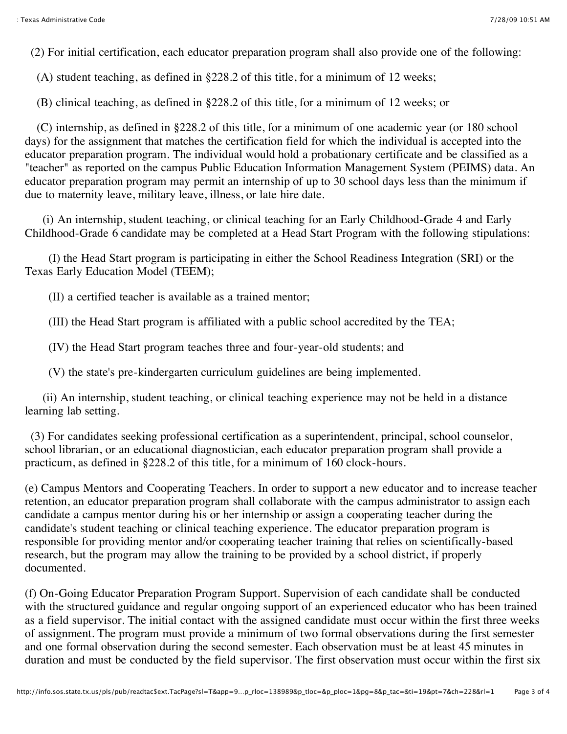(2) For initial certification, each educator preparation program shall also provide one of the following:

(A) student teaching, as defined in §228.2 of this title, for a minimum of 12 weeks;

(B) clinical teaching, as defined in §228.2 of this title, for a minimum of 12 weeks; or

 (C) internship, as defined in §228.2 of this title, for a minimum of one academic year (or 180 school days) for the assignment that matches the certification field for which the individual is accepted into the educator preparation program. The individual would hold a probationary certificate and be classified as a "teacher" as reported on the campus Public Education Information Management System (PEIMS) data. An educator preparation program may permit an internship of up to 30 school days less than the minimum if due to maternity leave, military leave, illness, or late hire date.

 (i) An internship, student teaching, or clinical teaching for an Early Childhood-Grade 4 and Early Childhood-Grade 6 candidate may be completed at a Head Start Program with the following stipulations:

 (I) the Head Start program is participating in either the School Readiness Integration (SRI) or the Texas Early Education Model (TEEM);

(II) a certified teacher is available as a trained mentor;

(III) the Head Start program is affiliated with a public school accredited by the TEA;

(IV) the Head Start program teaches three and four-year-old students; and

(V) the state's pre-kindergarten curriculum guidelines are being implemented.

 (ii) An internship, student teaching, or clinical teaching experience may not be held in a distance learning lab setting.

 (3) For candidates seeking professional certification as a superintendent, principal, school counselor, school librarian, or an educational diagnostician, each educator preparation program shall provide a practicum, as defined in §228.2 of this title, for a minimum of 160 clock-hours.

(e) Campus Mentors and Cooperating Teachers. In order to support a new educator and to increase teacher retention, an educator preparation program shall collaborate with the campus administrator to assign each candidate a campus mentor during his or her internship or assign a cooperating teacher during the candidate's student teaching or clinical teaching experience. The educator preparation program is responsible for providing mentor and/or cooperating teacher training that relies on scientifically-based research, but the program may allow the training to be provided by a school district, if properly documented.

(f) On-Going Educator Preparation Program Support. Supervision of each candidate shall be conducted with the structured guidance and regular ongoing support of an experienced educator who has been trained as a field supervisor. The initial contact with the assigned candidate must occur within the first three weeks of assignment. The program must provide a minimum of two formal observations during the first semester and one formal observation during the second semester. Each observation must be at least 45 minutes in duration and must be conducted by the field supervisor. The first observation must occur within the first six